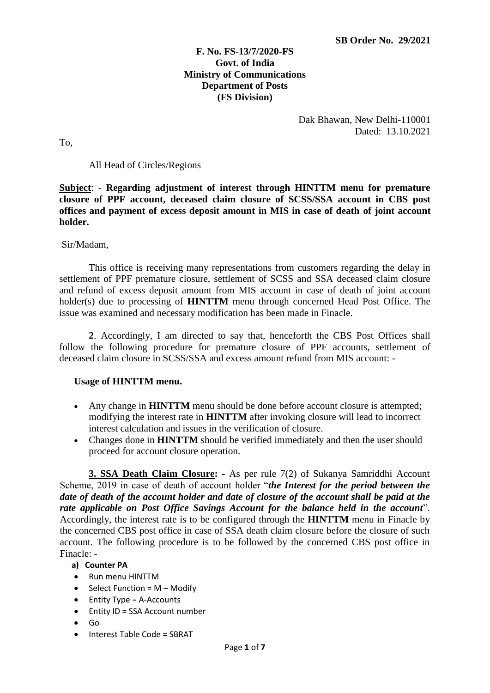## **F. No. FS-13/7/2020-FS Govt. of India Ministry of Communications Department of Posts (FS Division)**

Dak Bhawan, New Delhi-110001 Dated: 13.10.2021

To,

### All Head of Circles/Regions

**Subject**: - **Regarding adjustment of interest through HINTTM menu for premature closure of PPF account, deceased claim closure of SCSS/SSA account in CBS post offices and payment of excess deposit amount in MIS in case of death of joint account holder.** 

### Sir/Madam,

 This office is receiving many representations from customers regarding the delay in settlement of PPF premature closure, settlement of SCSS and SSA deceased claim closure and refund of excess deposit amount from MIS account in case of death of joint account holder(s) due to processing of **HINTTM** menu through concerned Head Post Office. The issue was examined and necessary modification has been made in Finacle.

 **2**. Accordingly, I am directed to say that, henceforth the CBS Post Offices shall follow the following procedure for premature closure of PPF accounts, settlement of deceased claim closure in SCSS/SSA and excess amount refund from MIS account: -

### **Usage of HINTTM menu.**

- Any change in **HINTTM** menu should be done before account closure is attempted; modifying the interest rate in **HINTTM** after invoking closure will lead to incorrect interest calculation and issues in the verification of closure.
- Changes done in **HINTTM** should be verified immediately and then the user should proceed for account closure operation.

**3. SSA Death Claim Closure: -** As per rule 7(2) of Sukanya Samriddhi Account Scheme, 2019 in case of death of account holder "*the Interest for the period between the date of death of the account holder and date of closure of the account shall be paid at the rate applicable on Post Office Savings Account for the balance held in the account*". Accordingly, the interest rate is to be configured through the **HINTTM** menu in Finacle by the concerned CBS post office in case of SSA death claim closure before the closure of such account. The following procedure is to be followed by the concerned CBS post office in Finacle: -

### **a) Counter PA**

- Run menu HINTTM
- Select Function =  $M -$  Modify
- Entity Type = A-Accounts
- Entity ID = SSA Account number
- Go
- Interest Table Code = SBRAT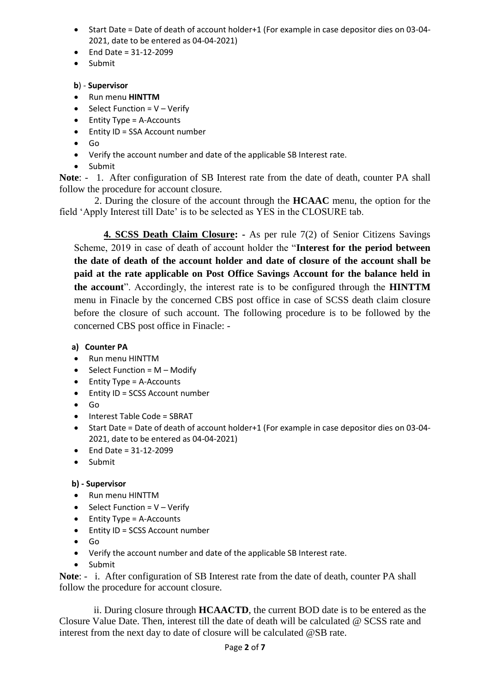- Start Date = Date of death of account holder+1 (For example in case depositor dies on 03-04- 2021, date to be entered as 04-04-2021)
- End Date =  $31 12 2099$
- Submit

## **b**) - **Supervisor**

- Run menu **HINTTM**
- Select Function =  $V Verify$
- Entity Type = A-Accounts
- Entity ID = SSA Account number
- Go
- Verify the account number and date of the applicable SB Interest rate.
- Submit

**Note**: - 1. After configuration of SB Interest rate from the date of death, counter PA shall follow the procedure for account closure.

 2. During the closure of the account through the **HCAAC** menu, the option for the field 'Apply Interest till Date' is to be selected as YES in the CLOSURE tab.

**4. SCSS Death Claim Closure: -** As per rule 7(2) of Senior Citizens Savings Scheme, 2019 in case of death of account holder the "**Interest for the period between the date of death of the account holder and date of closure of the account shall be paid at the rate applicable on Post Office Savings Account for the balance held in the account**". Accordingly, the interest rate is to be configured through the **HINTTM** menu in Finacle by the concerned CBS post office in case of SCSS death claim closure before the closure of such account. The following procedure is to be followed by the concerned CBS post office in Finacle: -

## **a) Counter PA**

- Run menu HINTTM
- Select Function =  $M Modify$
- Entity Type = A-Accounts
- Entity ID = SCSS Account number
- Go
- Interest Table Code = SBRAT
- Start Date = Date of death of account holder+1 (For example in case depositor dies on 03-04- 2021, date to be entered as 04-04-2021)
- End Date =  $31 12 2099$
- Submit

### **b) - Supervisor**

- Run menu HINTTM
- Select Function =  $V Verify$
- Entity Type = A-Accounts
- Entity ID = SCSS Account number
- Go
- Verify the account number and date of the applicable SB Interest rate.
- Submit

Note: - i. After configuration of SB Interest rate from the date of death, counter PA shall follow the procedure for account closure.

 ii. During closure through **HCAACTD**, the current BOD date is to be entered as the Closure Value Date. Then, interest till the date of death will be calculated @ SCSS rate and interest from the next day to date of closure will be calculated @SB rate.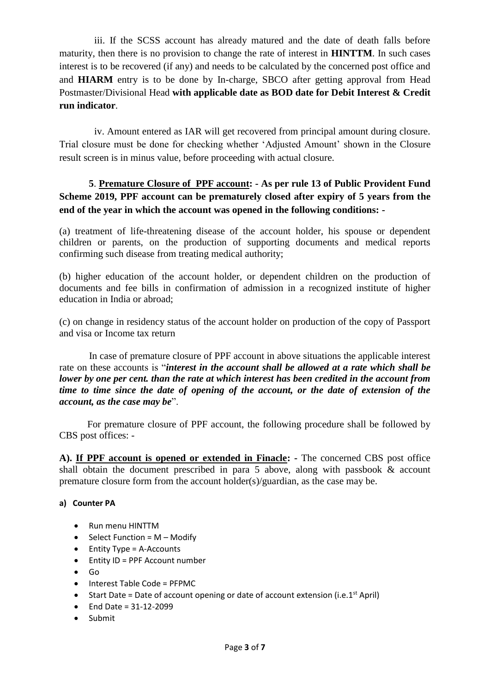iii. If the SCSS account has already matured and the date of death falls before maturity, then there is no provision to change the rate of interest in **HINTTM**. In such cases interest is to be recovered (if any) and needs to be calculated by the concerned post office and and **HIARM** entry is to be done by In-charge, SBCO after getting approval from Head Postmaster/Divisional Head **with applicable date as BOD date for Debit Interest & Credit run indicator**.

iv. Amount entered as IAR will get recovered from principal amount during closure. Trial closure must be done for checking whether 'Adjusted Amount' shown in the Closure result screen is in minus value, before proceeding with actual closure.

# **5**. **Premature Closure of PPF account: - As per rule 13 of Public Provident Fund Scheme 2019, PPF account can be prematurely closed after expiry of 5 years from the end of the year in which the account was opened in the following conditions: -**

(a) treatment of life-threatening disease of the account holder, his spouse or dependent children or parents, on the production of supporting documents and medical reports confirming such disease from treating medical authority;

(b) higher education of the account holder, or dependent children on the production of documents and fee bills in confirmation of admission in a recognized institute of higher education in India or abroad;

(c) on change in residency status of the account holder on production of the copy of Passport and visa or Income tax return

 In case of premature closure of PPF account in above situations the applicable interest rate on these accounts is "*interest in the account shall be allowed at a rate which shall be lower by one per cent. than the rate at which interest has been credited in the account from time to time since the date of opening of the account, or the date of extension of the account, as the case may be*".

 For premature closure of PPF account, the following procedure shall be followed by CBS post offices: -

**A). If PPF account is opened or extended in Finacle: -** The concerned CBS post office shall obtain the document prescribed in para 5 above, along with passbook & account premature closure form from the account holder(s)/guardian, as the case may be.

### **a) Counter PA**

- Run menu HINTTM
- Select Function =  $M Modify$
- Entity Type = A-Accounts
- Entity ID = PPF Account number
- Go
- Interest Table Code = PFPMC
- Start Date = Date of account opening or date of account extension (i.e.1<sup>st</sup> April)
- End Date = 31-12-2099
- Submit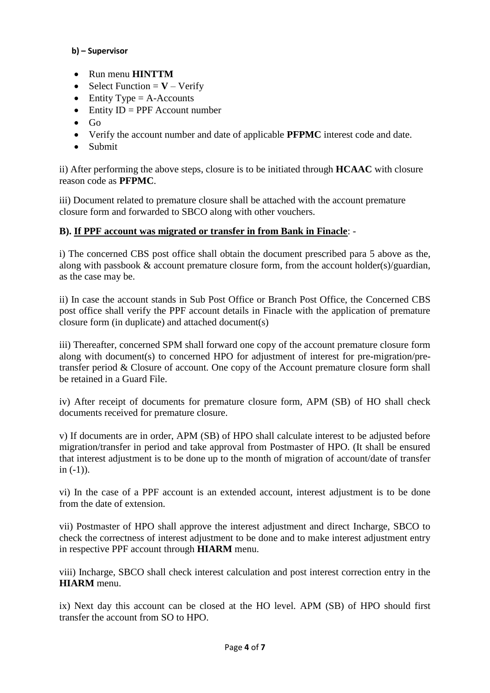## **b) – Supervisor**

- Run menu **HINTTM**
- Select Function  $=$  **V** Verify
- Entity Type  $=$  A-Accounts
- Entity  $ID = PPP$  Account number
- Go
- Verify the account number and date of applicable **PFPMC** interest code and date.
- Submit

ii) After performing the above steps, closure is to be initiated through **HCAAC** with closure reason code as **PFPMC**.

iii) Document related to premature closure shall be attached with the account premature closure form and forwarded to SBCO along with other vouchers.

## **B). If PPF account was migrated or transfer in from Bank in Finacle**: -

i) The concerned CBS post office shall obtain the document prescribed para 5 above as the, along with passbook & account premature closure form, from the account holder(s)/guardian, as the case may be.

ii) In case the account stands in Sub Post Office or Branch Post Office, the Concerned CBS post office shall verify the PPF account details in Finacle with the application of premature closure form (in duplicate) and attached document(s)

iii) Thereafter, concerned SPM shall forward one copy of the account premature closure form along with document(s) to concerned HPO for adjustment of interest for pre-migration/pretransfer period & Closure of account. One copy of the Account premature closure form shall be retained in a Guard File.

iv) After receipt of documents for premature closure form, APM (SB) of HO shall check documents received for premature closure.

v) If documents are in order, APM (SB) of HPO shall calculate interest to be adjusted before migration/transfer in period and take approval from Postmaster of HPO. (It shall be ensured that interest adjustment is to be done up to the month of migration of account/date of transfer in  $(-1)$ ).

vi) In the case of a PPF account is an extended account, interest adjustment is to be done from the date of extension.

vii) Postmaster of HPO shall approve the interest adjustment and direct Incharge, SBCO to check the correctness of interest adjustment to be done and to make interest adjustment entry in respective PPF account through **HIARM** menu.

viii) Incharge, SBCO shall check interest calculation and post interest correction entry in the **HIARM** menu.

ix) Next day this account can be closed at the HO level. APM (SB) of HPO should first transfer the account from SO to HPO.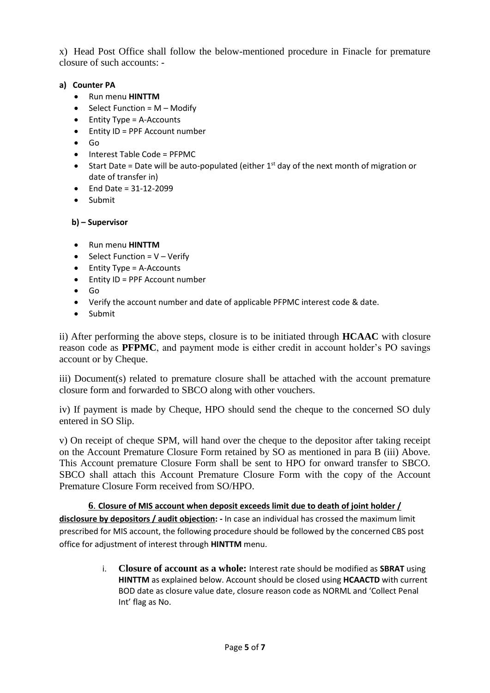x) Head Post Office shall follow the below-mentioned procedure in Finacle for premature closure of such accounts: -

## **a) Counter PA**

- Run menu **HINTTM**
- $\bullet$  Select Function = M Modify
- Entity Type = A-Accounts
- Entity ID = PPF Account number
- Go
- Interest Table Code = PFPMC
- Start Date = Date will be auto-populated (either  $1<sup>st</sup>$  day of the next month of migration or date of transfer in)
- End Date =  $31 12 2099$
- Submit

# **b) – Supervisor**

- Run menu **HINTTM**
- Select Function =  $V -$  Verify
- Entity Type = A-Accounts
- Entity ID = PPF Account number
- Go
- Verify the account number and date of applicable PFPMC interest code & date.
- Submit

ii) After performing the above steps, closure is to be initiated through **HCAAC** with closure reason code as **PFPMC**, and payment mode is either credit in account holder's PO savings account or by Cheque.

iii) Document(s) related to premature closure shall be attached with the account premature closure form and forwarded to SBCO along with other vouchers.

iv) If payment is made by Cheque, HPO should send the cheque to the concerned SO duly entered in SO Slip.

v) On receipt of cheque SPM, will hand over the cheque to the depositor after taking receipt on the Account Premature Closure Form retained by SO as mentioned in para B (iii) Above. This Account premature Closure Form shall be sent to HPO for onward transfer to SBCO. SBCO shall attach this Account Premature Closure Form with the copy of the Account Premature Closure Form received from SO/HPO.

**6**. **Closure of MIS account when deposit exceeds limit due to death of joint holder / disclosure by depositors / audit objection: -** In case an individual has crossed the maximum limit prescribed for MIS account, the following procedure should be followed by the concerned CBS post office for adjustment of interest through **HINTTM** menu.

> i. **Closure of account as a whole:** Interest rate should be modified as **SBRAT** using **HINTTM** as explained below. Account should be closed using **HCAACTD** with current BOD date as closure value date, closure reason code as NORML and 'Collect Penal Int' flag as No.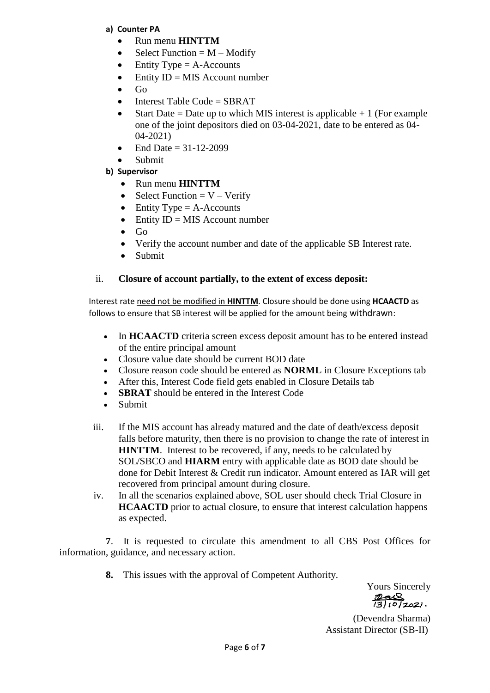## **a) Counter PA**

- Run menu **HINTTM**
- Select Function  $= M -$ Modify
- Entity Type  $=$  A-Accounts
- Entity  $ID = MIS$  Account number
- Go
- Interest Table Code = SBRAT
- Start Date = Date up to which MIS interest is applicable  $+1$  (For example one of the joint depositors died on 03-04-2021, date to be entered as 04- 04-2021)
- End Date =  $31-12-2099$
- Submit
- **b) Supervisor**
	- Run menu **HINTTM**
	- Select Function  $= V Verify$
	- Entity Type  $=$  A-Accounts
	- Entity  $ID = MIS$  Account number
	- $\bullet$  Go
	- Verify the account number and date of the applicable SB Interest rate.
	- Submit

## ii. **Closure of account partially, to the extent of excess deposit:**

Interest rate need not be modified in **HINTTM**. Closure should be done using **HCAACTD** as follows to ensure that SB interest will be applied for the amount being withdrawn:

- In **HCAACTD** criteria screen excess deposit amount has to be entered instead of the entire principal amount
- Closure value date should be current BOD date
- Closure reason code should be entered as **NORML** in Closure Exceptions tab
- After this, Interest Code field gets enabled in Closure Details tab
- **SBRAT** should be entered in the Interest Code
- Submit
- iii. If the MIS account has already matured and the date of death/excess deposit falls before maturity, then there is no provision to change the rate of interest in **HINTTM**. Interest to be recovered, if any, needs to be calculated by SOL/SBCO and **HIARM** entry with applicable date as BOD date should be done for Debit Interest & Credit run indicator. Amount entered as IAR will get recovered from principal amount during closure.
- iv. In all the scenarios explained above, SOL user should check Trial Closure in **HCAACTD** prior to actual closure, to ensure that interest calculation happens as expected.

**7**. It is requested to circulate this amendment to all CBS Post Offices for information, guidance, and necessary action.

**8.** This issues with the approval of Competent Authority.

Yours Sincerely  $\frac{p_{\alpha\alpha}}{2(3)(0)(202)}.$ 

(Devendra Sharma) Assistant Director (SB-II)